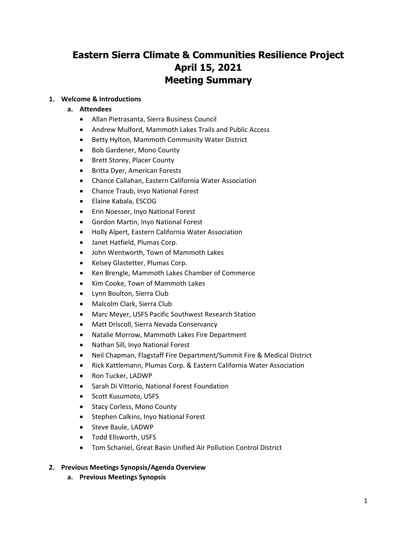# **Eastern Sierra Climate & Communities Resilience Project April 15, 2021 Meeting Summary**

## **1. Welcome & Introductions**

## **a. Attendees**

- Allan Pietrasanta, Sierra Business Council
- Andrew Mulford, Mammoth Lakes Trails and Public Access
- Betty Hylton, Mammoth Community Water District
- Bob Gardener, Mono County
- Brett Storey, Placer County
- Britta Dyer, American Forests
- Chance Callahan, Eastern California Water Association
- Chance Traub, Inyo National Forest
- Elaine Kabala, ESCOG
- Erin Noesser, Inyo National Forest
- Gordon Martin, Inyo National Forest
- Holly Alpert, Eastern California Water Association
- Janet Hatfield, Plumas Corp.
- John Wentworth, Town of Mammoth Lakes
- Kelsey Glastetter, Plumas Corp.
- Ken Brengle, Mammoth Lakes Chamber of Commerce
- Kim Cooke, Town of Mammoth Lakes
- Lynn Boulton, Sierra Club
- Malcolm Clark, Sierra Club
- Marc Meyer, USFS Pacific Southwest Research Station
- Matt Driscoll, Sierra Nevada Conservancy
- Natalie Morrow, Mammoth Lakes Fire Department
- Nathan Sill, Inyo National Forest
- Neil Chapman, Flagstaff Fire Department/Summit Fire & Medical District
- Rick Kattlemann, Plumas Corp. & Eastern California Water Association
- Ron Tucker, LADWP
- Sarah Di Vittorio, National Forest Foundation
- Scott Kusumoto, USFS
- Stacy Corless, Mono County
- Stephen Calkins, Inyo National Forest
- Steve Baule, LADWP
- Todd Ellsworth, USFS
- Tom Schaniel, Great Basin Unified Air Pollution Control District
- **2. Previous Meetings Synopsis/Agenda Overview**
	- **a. Previous Meetings Synopsis**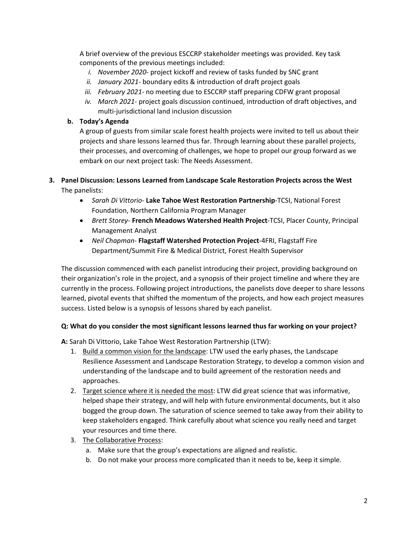A brief overview of the previous ESCCRP stakeholder meetings was provided. Key task components of the previous meetings included:

- *i. November 2020-* project kickoff and review of tasks funded by SNC grant
- *ii. January 2021-* boundary edits & introduction of draft project goals
- *iii. February 2021-* no meeting due to ESCCRP staff preparing CDFW grant proposal
- *iv. March 2021-* project goals discussion continued, introduction of draft objectives, and multi-jurisdictional land inclusion discussion

## **b. Today's Agenda**

A group of guests from similar scale forest health projects were invited to tell us about their projects and share lessons learned thus far. Through learning about these parallel projects, their processes, and overcoming of challenges, we hope to propel our group forward as we embark on our next project task: The Needs Assessment.

# **3. Panel Discussion: Lessons Learned from Landscape Scale Restoration Projects across the West** The panelists:

- *Sarah Di Vittorio* **Lake Tahoe West Restoration Partnership**-TCSI, National Forest Foundation, Northern California Program Manager
- *Brett Storey* **French Meadows Watershed Health Project**-TCSI, Placer County, Principal Management Analyst
- *Neil Chapman* **Flagstaff Watershed Protection Project**-4FRI, Flagstaff Fire Department/Summit Fire & Medical District, Forest Health Supervisor

The discussion commenced with each panelist introducing their project, providing background on their organization's role in the project, and a synopsis of their project timeline and where they are currently in the process. Following project introductions, the panelists dove deeper to share lessons learned, pivotal events that shifted the momentum of the projects, and how each project measures success. Listed below is a synopsis of lessons shared by each panelist.

# **Q: What do you consider the most significant lessons learned thus far working on your project?**

**A:** Sarah Di Vittorio, Lake Tahoe West Restoration Partnership (LTW):

- 1. Build a common vision for the landscape: LTW used the early phases, the Landscape Resilience Assessment and Landscape Restoration Strategy, to develop a common vision and understanding of the landscape and to build agreement of the restoration needs and approaches.
- 2. Target science where it is needed the most: LTW did great science that was informative, helped shape their strategy, and will help with future environmental documents, but it also bogged the group down. The saturation of science seemed to take away from their ability to keep stakeholders engaged. Think carefully about what science you really need and target your resources and time there.
- 3. The Collaborative Process:
	- a. Make sure that the group's expectations are aligned and realistic.
	- b. Do not make your process more complicated than it needs to be, keep it simple.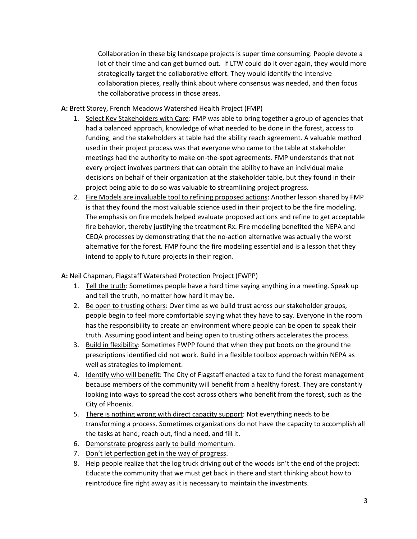Collaboration in these big landscape projects is super time consuming. People devote a lot of their time and can get burned out. If LTW could do it over again, they would more strategically target the collaborative effort. They would identify the intensive collaboration pieces, really think about where consensus was needed, and then focus the collaborative process in those areas.

**A:** Brett Storey, French Meadows Watershed Health Project (FMP)

- 1. Select Key Stakeholders with Care: FMP was able to bring together a group of agencies that had a balanced approach, knowledge of what needed to be done in the forest, access to funding, and the stakeholders at table had the ability reach agreement. A valuable method used in their project process was that everyone who came to the table at stakeholder meetings had the authority to make on-the-spot agreements. FMP understands that not every project involves partners that can obtain the ability to have an individual make decisions on behalf of their organization at the stakeholder table, but they found in their project being able to do so was valuable to streamlining project progress.
- 2. Fire Models are invaluable tool to refining proposed actions: Another lesson shared by FMP is that they found the most valuable science used in their project to be the fire modeling. The emphasis on fire models helped evaluate proposed actions and refine to get acceptable fire behavior, thereby justifying the treatment Rx. Fire modeling benefited the NEPA and CEQA processes by demonstrating that the no-action alternative was actually the worst alternative for the forest. FMP found the fire modeling essential and is a lesson that they intend to apply to future projects in their region.

**A:** Neil Chapman, Flagstaff Watershed Protection Project (FWPP)

- 1. Tell the truth: Sometimes people have a hard time saying anything in a meeting. Speak up and tell the truth, no matter how hard it may be.
- 2. Be open to trusting others: Over time as we build trust across our stakeholder groups, people begin to feel more comfortable saying what they have to say. Everyone in the room has the responsibility to create an environment where people can be open to speak their truth. Assuming good intent and being open to trusting others accelerates the process.
- 3. Build in flexibility: Sometimes FWPP found that when they put boots on the ground the prescriptions identified did not work. Build in a flexible toolbox approach within NEPA as well as strategies to implement.
- 4. Identify who will benefit: The City of Flagstaff enacted a tax to fund the forest management because members of the community will benefit from a healthy forest. They are constantly looking into ways to spread the cost across others who benefit from the forest, such as the City of Phoenix.
- 5. There is nothing wrong with direct capacity support: Not everything needs to be transforming a process. Sometimes organizations do not have the capacity to accomplish all the tasks at hand; reach out, find a need, and fill it.
- 6. Demonstrate progress early to build momentum.
- 7. Don't let perfection get in the way of progress.
- 8. Help people realize that the log truck driving out of the woods isn't the end of the project: Educate the community that we must get back in there and start thinking about how to reintroduce fire right away as it is necessary to maintain the investments.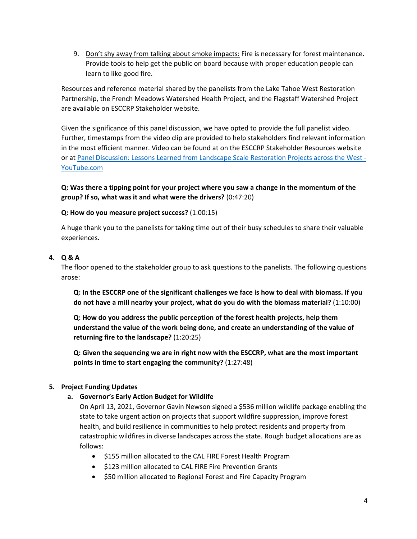9. Don't shy away from talking about smoke impacts: Fire is necessary for forest maintenance. Provide tools to help get the public on board because with proper education people can learn to like good fire.

Resources and reference material shared by the panelists from the Lake Tahoe West Restoration Partnership, the French Meadows Watershed Health Project, and the Flagstaff Watershed Project are available on ESCCRP Stakeholder website.

Given the significance of this panel discussion, we have opted to provide the full panelist video. Further, timestamps from the video clip are provided to help stakeholders find relevant information in the most efficient manner. Video can be found at on the ESCCRP Stakeholder Resources website or a[t Panel Discussion: Lessons Learned from Landscape Scale Restoration Projects across the West -](https://www.youtube.com/watch?v=y8Thu3wVKUw) [YouTube.com](https://www.youtube.com/watch?v=y8Thu3wVKUw)

**Q: Was there a tipping point for your project where you saw a change in the momentum of the group? If so, what was it and what were the drivers?** (0:47:20)

## **Q: How do you measure project success?** (1:00:15)

A huge thank you to the panelists for taking time out of their busy schedules to share their valuable experiences.

## **4. Q & A**

The floor opened to the stakeholder group to ask questions to the panelists. The following questions arose:

**Q: In the ESCCRP one of the significant challenges we face is how to deal with biomass. If you do not have a mill nearby your project, what do you do with the biomass material?** (1:10:00)

**Q: How do you address the public perception of the forest health projects, help them understand the value of the work being done, and create an understanding of the value of returning fire to the landscape?** (1:20:25)

**Q: Given the sequencing we are in right now with the ESCCRP, what are the most important points in time to start engaging the community?** (1:27:48)

## **5. Project Funding Updates**

**a. Governor's Early Action Budget for Wildlife**

On April 13, 2021, Governor Gavin Newson signed a \$536 million wildlife package enabling the state to take urgent action on projects that support wildfire suppression, improve forest health, and build resilience in communities to help protect residents and property from catastrophic wildfires in diverse landscapes across the state. Rough budget allocations are as follows:

- \$155 million allocated to the CAL FIRE Forest Health Program
- \$123 million allocated to CAL FIRE Fire Prevention Grants
- \$50 million allocated to Regional Forest and Fire Capacity Program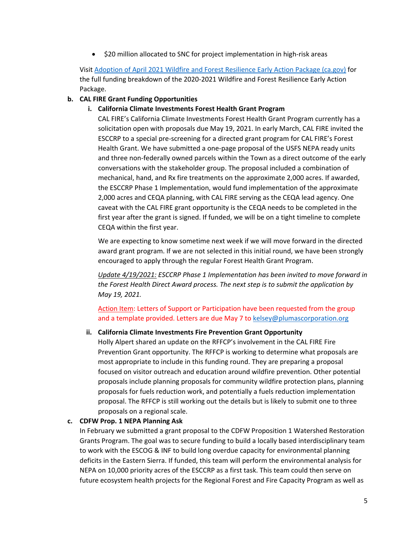• \$20 million allocated to SNC for project implementation in high-risk areas

Visit [Adoption of April 2021 Wildfire and Forest Resilience Early Action Package \(ca.gov\)](https://lao.ca.gov/Publications/Report/4414) for the full funding breakdown of the 2020-2021 Wildfire and Forest Resilience Early Action Package.

## **b. CAL FIRE Grant Funding Opportunities**

## **i. California Climate Investments Forest Health Grant Program**

CAL FIRE's California Climate Investments Forest Health Grant Program currently has a solicitation open with proposals due May 19, 2021. In early March, CAL FIRE invited the ESCCRP to a special pre-screening for a directed grant program for CAL FIRE's Forest Health Grant. We have submitted a one-page proposal of the USFS NEPA ready units and three non-federally owned parcels within the Town as a direct outcome of the early conversations with the stakeholder group. The proposal included a combination of mechanical, hand, and Rx fire treatments on the approximate 2,000 acres. If awarded, the ESCCRP Phase 1 Implementation, would fund implementation of the approximate 2,000 acres and CEQA planning, with CAL FIRE serving as the CEQA lead agency. One caveat with the CAL FIRE grant opportunity is the CEQA needs to be completed in the first year after the grant is signed. If funded, we will be on a tight timeline to complete CEQA within the first year.

We are expecting to know sometime next week if we will move forward in the directed award grant program. If we are not selected in this initial round, we have been strongly encouraged to apply through the regular Forest Health Grant Program.

*Update 4/19/2021: ESCCRP Phase 1 Implementation has been invited to move forward in the Forest Health Direct Award process. The next step is to submit the application by May 19, 2021.*

Action Item: Letters of Support or Participation have been requested from the group and a template provided. Letters are due May 7 to [kelsey@plumascorporation.org](mailto:kelsey@plumascorporation.org)

## **ii. California Climate Investments Fire Prevention Grant Opportunity**

Holly Alpert shared an update on the RFFCP's involvement in the CAL FIRE Fire Prevention Grant opportunity. The RFFCP is working to determine what proposals are most appropriate to include in this funding round. They are preparing a proposal focused on visitor outreach and education around wildfire prevention. Other potential proposals include planning proposals for community wildfire protection plans, planning proposals for fuels reduction work, and potentially a fuels reduction implementation proposal. The RFFCP is still working out the details but is likely to submit one to three proposals on a regional scale.

## **c. CDFW Prop. 1 NEPA Planning Ask**

In February we submitted a grant proposal to the CDFW Proposition 1 Watershed Restoration Grants Program. The goal was to secure funding to build a locally based interdisciplinary team to work with the ESCOG & INF to build long overdue capacity for environmental planning deficits in the Eastern Sierra. If funded, this team will perform the environmental analysis for NEPA on 10,000 priority acres of the ESCCRP as a first task. This team could then serve on future ecosystem health projects for the Regional Forest and Fire Capacity Program as well as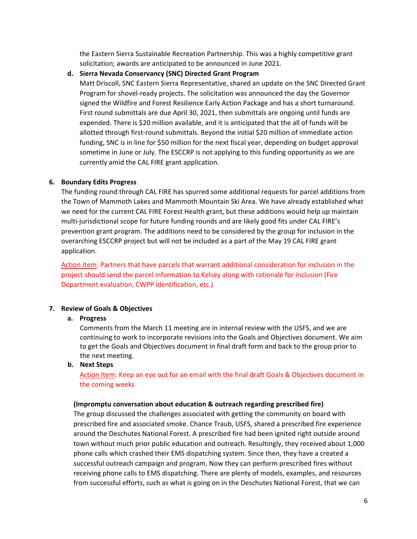the Eastern Sierra Sustainable Recreation Partnership. This was a highly competitive grant solicitation; awards are anticipated to be announced in June 2021.

#### **d. Sierra Nevada Conservancy (SNC) Directed Grant Program**

Matt Driscoll, SNC Eastern Sierra Representative, shared an update on the SNC Directed Grant Program for shovel-ready projects. The solicitation was announced the day the Governor signed the Wildfire and Forest Resilience Early Action Package and has a short turnaround. First round submittals are due April 30, 2021, then submittals are ongoing until funds are expended. There is \$20 million available, and it is anticipated that the all of funds will be allotted through first-round submittals. Beyond the initial \$20 million of immediate action funding, SNC is in line for \$50 million for the next fiscal year, depending on budget approval sometime in June or July. The ESCCRP is not applying to this funding opportunity as we are currently amid the CAL FIRE grant application.

## **6. Boundary Edits Progress**

The funding round through CAL FIRE has spurred some additional requests for parcel additions from the Town of Mammoth Lakes and Mammoth Mountain Ski Area. We have already established what we need for the current CAL FIRE Forest Health grant, but these additions would help up maintain multi-jurisdictional scope for future funding rounds and are likely good fits under CAL FIRE's prevention grant program. The additions need to be considered by the group for inclusion in the overarching ESCCRP project but will not be included as a part of the May 19 CAL FIRE grant application.

Action Item: Partners that have parcels that warrant additional consideration for inclusion in the project should send the parcel information to Kelsey along with rationale for inclusion (Fire Department evaluation, CWPP identification, etc.)

## **7. Review of Goals & Objectives**

#### **a. Progress**

Comments from the March 11 meeting are in internal review with the USFS, and we are continuing to work to incorporate revisions into the Goals and Objectives document. We aim to get the Goals and Objectives document in final draft form and back to the group prior to the next meeting.

#### **b. Next Steps**

Action Item: Keep an eye out for an email with the final draft Goals & Objectives document in the coming weeks

#### **(Impromptu conversation about education & outreach regarding prescribed fire)**

The group discussed the challenges associated with getting the community on board with prescribed fire and associated smoke. Chance Traub, USFS, shared a prescribed fire experience around the Deschutes National Forest. A prescribed fire had been ignited right outside around town without much prior public education and outreach. Resultingly, they received about 1,000 phone calls which crashed their EMS dispatching system. Since then, they have a created a successful outreach campaign and program. Now they can perform prescribed fires without receiving phone calls to EMS dispatching. There are plenty of models, examples, and resources from successful efforts, such as what is going on in the Deschutes National Forest, that we can